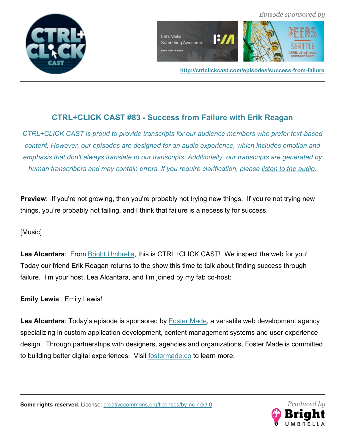





# **CTRL+CLICK CAST #83 - Success from Failure with Erik Reagan**

*CTRL+CLICK CAST is proud to provide transcripts for our audience members who prefer text-based content. However, our episodes are designed for an audio experience, which includes emotion and emphasis that don't always translate to our transcripts. Additionally, our transcripts are generated by human transcribers and may contain errors. If you require clarification, please listen to the audio.*

**Preview**: If you're not growing, then you're probably not trying new things. If you're not trying new things, you're probably not failing, and I think that failure is a necessity for success.

# [Music]

**Lea Alcantara**: From Bright Umbrella, this is CTRL+CLICK CAST! We inspect the web for you! Today our friend Erik Reagan returns to the show this time to talk about finding success through failure. I'm your host, Lea Alcantara, and I'm joined by my fab co-host:

**Emily Lewis**: Emily Lewis!

Lea Alcantara: Today's episode is sponsored by **Foster Made**, a versatile web development agency specializing in custom application development, content management systems and user experience design. Through partnerships with designers, agencies and organizations, Foster Made is committed to building better digital experiences. Visit fostermade.co to learn more.

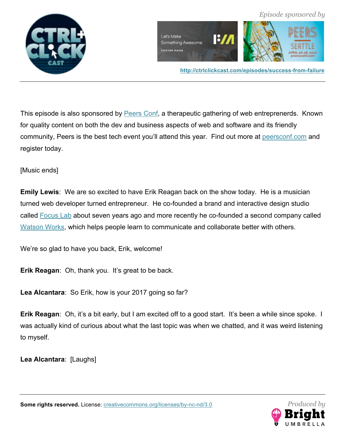



**http://ctrlclickcast.com/episodes/success-from-failure**

This episode is also sponsored by **Peers Conf**, a therapeutic gathering of web entreprenerds. Known for quality content on both the dev and business aspects of web and software and its friendly community, Peers is the best tech event you'll attend this year. Find out more at peersconf.com and register today.

[Music ends]

**Emily Lewis**: We are so excited to have Erik Reagan back on the show today. He is a musician turned web developer turned entrepreneur. He co-founded a brand and interactive design studio called Focus Lab about seven years ago and more recently he co-founded a second company called Watson Works, which helps people learn to communicate and collaborate better with others.

We're so glad to have you back, Erik, welcome!

**Erik Reagan: Oh, thank you. It's great to be back.** 

**Lea Alcantara**: So Erik, how is your 2017 going so far?

**Erik Reagan:** Oh, it's a bit early, but I am excited off to a good start. It's been a while since spoke. I was actually kind of curious about what the last topic was when we chatted, and it was weird listening to myself.

**Lea Alcantara**: [Laughs]



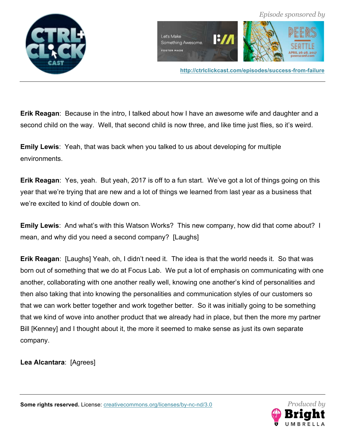



**Erik Reagan**: Because in the intro, I talked about how I have an awesome wife and daughter and a second child on the way. Well, that second child is now three, and like time just flies, so it's weird.

**Emily Lewis**: Yeah, that was back when you talked to us about developing for multiple environments.

**Erik Reagan**: Yes, yeah. But yeah, 2017 is off to a fun start. We've got a lot of things going on this year that we're trying that are new and a lot of things we learned from last year as a business that we're excited to kind of double down on.

**Emily Lewis**: And what's with this Watson Works? This new company, how did that come about? I mean, and why did you need a second company? [Laughs]

**Erik Reagan**: [Laughs] Yeah, oh, I didn't need it. The idea is that the world needs it. So that was born out of something that we do at Focus Lab. We put a lot of emphasis on communicating with one another, collaborating with one another really well, knowing one another's kind of personalities and then also taking that into knowing the personalities and communication styles of our customers so that we can work better together and work together better. So it was initially going to be something that we kind of wove into another product that we already had in place, but then the more my partner Bill [Kenney] and I thought about it, the more it seemed to make sense as just its own separate company.

**Lea Alcantara**: [Agrees]

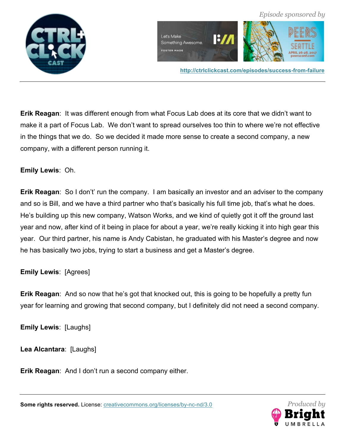

**Erik Reagan**: It was different enough from what Focus Lab does at its core that we didn't want to make it a part of Focus Lab. We don't want to spread ourselves too thin to where we're not effective in the things that we do. So we decided it made more sense to create a second company, a new company, with a different person running it.

# **Emily Lewis**: Oh.

**Erik Reagan**: So I don't' run the company. I am basically an investor and an adviser to the company and so is Bill, and we have a third partner who that's basically his full time job, that's what he does. He's building up this new company, Watson Works, and we kind of quietly got it off the ground last year and now, after kind of it being in place for about a year, we're really kicking it into high gear this year. Our third partner, his name is Andy Cabistan, he graduated with his Master's degree and now he has basically two jobs, trying to start a business and get a Master's degree.

# **Emily Lewis**: [Agrees]

**Erik Reagan**: And so now that he's got that knocked out, this is going to be hopefully a pretty fun year for learning and growing that second company, but I definitely did not need a second company.

**Emily Lewis**: [Laughs]

**Lea Alcantara**: [Laughs]

**Erik Reagan**: And I don't run a second company either.

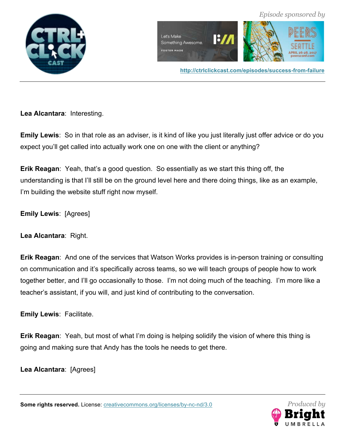



**Lea Alcantara**: Interesting.

**Emily Lewis**: So in that role as an adviser, is it kind of like you just literally just offer advice or do you expect you'll get called into actually work one on one with the client or anything?

**Erik Reagan**: Yeah, that's a good question. So essentially as we start this thing off, the understanding is that I'll still be on the ground level here and there doing things, like as an example, I'm building the website stuff right now myself.

**Emily Lewis**: [Agrees]

**Lea Alcantara**: Right.

**Erik Reagan**: And one of the services that Watson Works provides is in-person training or consulting on communication and it's specifically across teams, so we will teach groups of people how to work together better, and I'll go occasionally to those. I'm not doing much of the teaching. I'm more like a teacher's assistant, if you will, and just kind of contributing to the conversation.

**Emily Lewis**: Facilitate.

**Erik Reagan**: Yeah, but most of what I'm doing is helping solidify the vision of where this thing is going and making sure that Andy has the tools he needs to get there.

**Lea Alcantara**: [Agrees]

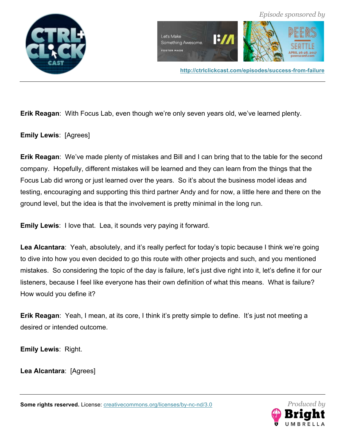



**Erik Reagan**: With Focus Lab, even though we're only seven years old, we've learned plenty.

**Emily Lewis**: [Agrees]

**Erik Reagan**: We've made plenty of mistakes and Bill and I can bring that to the table for the second company. Hopefully, different mistakes will be learned and they can learn from the things that the Focus Lab did wrong or just learned over the years. So it's about the business model ideas and testing, encouraging and supporting this third partner Andy and for now, a little here and there on the ground level, but the idea is that the involvement is pretty minimal in the long run.

**Emily Lewis**: I love that. Lea, it sounds very paying it forward.

Lea Alcantara: Yeah, absolutely, and it's really perfect for today's topic because I think we're going to dive into how you even decided to go this route with other projects and such, and you mentioned mistakes. So considering the topic of the day is failure, let's just dive right into it, let's define it for our listeners, because I feel like everyone has their own definition of what this means. What is failure? How would you define it?

**Erik Reagan**: Yeah, I mean, at its core, I think it's pretty simple to define. It's just not meeting a desired or intended outcome.

**Emily Lewis**: Right.

**Lea Alcantara**: [Agrees]

**Some rights reserved.** License: **creativecommons.org/licenses/by-nc-nd/3.0** *Produced by* 



 *Episode sponsored by*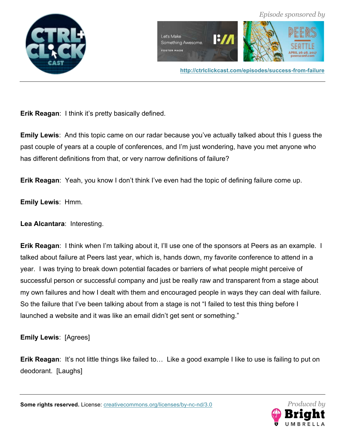



**Erik Reagan**: I think it's pretty basically defined.

**Emily Lewis**: And this topic came on our radar because you've actually talked about this I guess the past couple of years at a couple of conferences, and I'm just wondering, have you met anyone who has different definitions from that, or very narrow definitions of failure?

**Erik Reagan**: Yeah, you know I don't think I've even had the topic of defining failure come up.

**Emily Lewis**: Hmm.

**Lea Alcantara**: Interesting.

**Erik Reagan**: I think when I'm talking about it, I'll use one of the sponsors at Peers as an example. I talked about failure at Peers last year, which is, hands down, my favorite conference to attend in a year. I was trying to break down potential facades or barriers of what people might perceive of successful person or successful company and just be really raw and transparent from a stage about my own failures and how I dealt with them and encouraged people in ways they can deal with failure. So the failure that I've been talking about from a stage is not "I failed to test this thing before I launched a website and it was like an email didn't get sent or something."

**Emily Lewis**: [Agrees]

**Erik Reagan:** It's not little things like failed to... Like a good example I like to use is failing to put on deodorant. [Laughs]

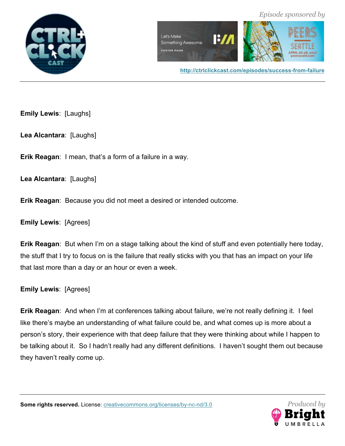



**http://ctrlclickcast.com/episodes/success-from-failure**

**Emily Lewis**: [Laughs]

**Lea Alcantara**: [Laughs]

**Erik Reagan**: I mean, that's a form of a failure in a way.

**Lea Alcantara**: [Laughs]

**Erik Reagan**: Because you did not meet a desired or intended outcome.

**Emily Lewis**: [Agrees]

**Erik Reagan**: But when I'm on a stage talking about the kind of stuff and even potentially here today, the stuff that I try to focus on is the failure that really sticks with you that has an impact on your life that last more than a day or an hour or even a week.

**Emily Lewis**: [Agrees]

**Erik Reagan**: And when I'm at conferences talking about failure, we're not really defining it. I feel like there's maybe an understanding of what failure could be, and what comes up is more about a person's story, their experience with that deep failure that they were thinking about while I happen to be talking about it. So I hadn't really had any different definitions. I haven't sought them out because they haven't really come up.

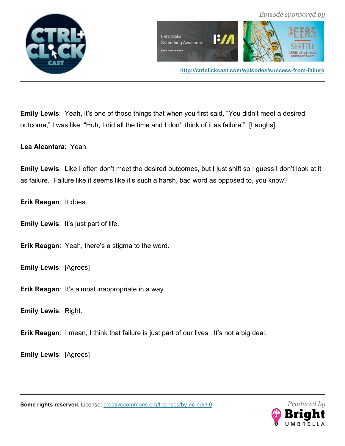



**Emily Lewis**: Yeah, it's one of those things that when you first said, "You didn't meet a desired outcome," I was like, "Huh, I did all the time and I don't think of it as failure." [Laughs]

**Lea Alcantara**: Yeah.

**Emily Lewis**: Like I often don't meet the desired outcomes, but I just shift so I guess I don't look at it as failure. Failure like it seems like it's such a harsh, bad word as opposed to, you know?

**Erik Reagan**: It does.

**Emily Lewis**: It's just part of life.

**Erik Reagan**: Yeah, there's a stigma to the word.

**Emily Lewis**: [Agrees]

**Erik Reagan**: It's almost inappropriate in a way.

**Emily Lewis**: Right.

**Erik Reagan**: I mean, I think that failure is just part of our lives. It's not a big deal.

**Emily Lewis**: [Agrees]

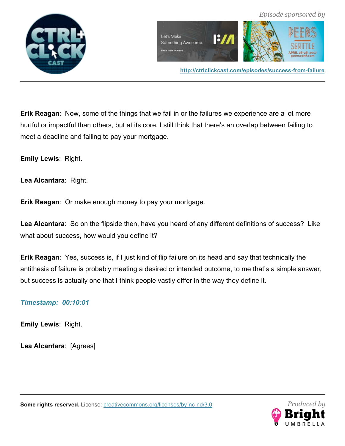

**Erik Reagan**: Now, some of the things that we fail in or the failures we experience are a lot more hurtful or impactful than others, but at its core, I still think that there's an overlap between failing to meet a deadline and failing to pay your mortgage.

**Emily Lewis**: Right.

**Lea Alcantara**: Right.

**Erik Reagan**: Or make enough money to pay your mortgage.

**Lea Alcantara**: So on the flipside then, have you heard of any different definitions of success? Like what about success, how would you define it?

**Erik Reagan**: Yes, success is, if I just kind of flip failure on its head and say that technically the antithesis of failure is probably meeting a desired or intended outcome, to me that's a simple answer, but success is actually one that I think people vastly differ in the way they define it.

## *Timestamp: 00:10:01*

**Emily Lewis**: Right.

**Lea Alcantara**: [Agrees]



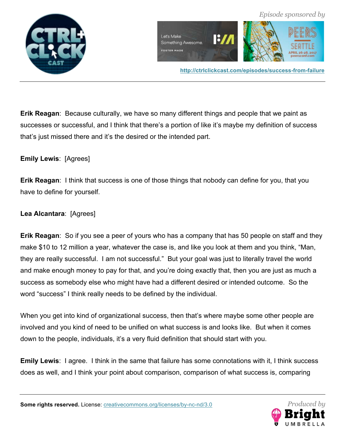

**Erik Reagan**: Because culturally, we have so many different things and people that we paint as successes or successful, and I think that there's a portion of like it's maybe my definition of success that's just missed there and it's the desired or the intended part.

# **Emily Lewis**: [Agrees]

**Erik Reagan**: I think that success is one of those things that nobody can define for you, that you have to define for yourself.

# **Lea Alcantara**: [Agrees]

**Erik Reagan**: So if you see a peer of yours who has a company that has 50 people on staff and they make \$10 to 12 million a year, whatever the case is, and like you look at them and you think, "Man, they are really successful. I am not successful." But your goal was just to literally travel the world and make enough money to pay for that, and you're doing exactly that, then you are just as much a success as somebody else who might have had a different desired or intended outcome. So the word "success" I think really needs to be defined by the individual.

When you get into kind of organizational success, then that's where maybe some other people are involved and you kind of need to be unified on what success is and looks like. But when it comes down to the people, individuals, it's a very fluid definition that should start with you.

**Emily Lewis**: I agree. I think in the same that failure has some connotations with it, I think success does as well, and I think your point about comparison, comparison of what success is, comparing

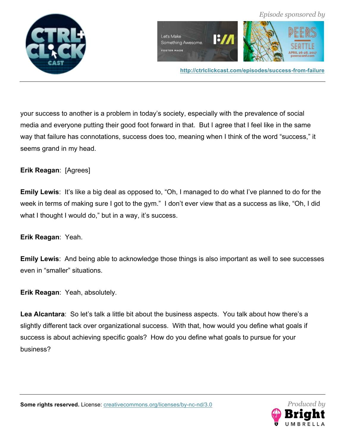

your success to another is a problem in today's society, especially with the prevalence of social media and everyone putting their good foot forward in that. But I agree that I feel like in the same way that failure has connotations, success does too, meaning when I think of the word "success," it seems grand in my head.

# **Erik Reagan**: [Agrees]

**Emily Lewis**: It's like a big deal as opposed to, "Oh, I managed to do what I've planned to do for the week in terms of making sure I got to the gym." I don't ever view that as a success as like, "Oh, I did what I thought I would do," but in a way, it's success.

## **Erik Reagan**: Yeah.

**Emily Lewis**: And being able to acknowledge those things is also important as well to see successes even in "smaller" situations.

**Erik Reagan**: Yeah, absolutely.

**Lea Alcantara**: So let's talk a little bit about the business aspects. You talk about how there's a slightly different tack over organizational success. With that, how would you define what goals if success is about achieving specific goals? How do you define what goals to pursue for your business?

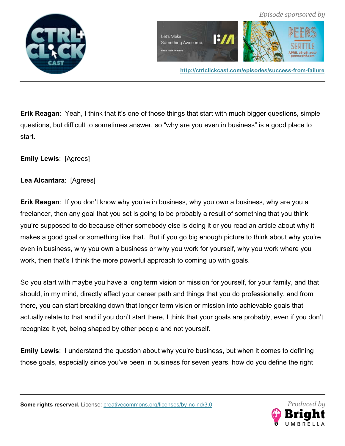

**Erik Reagan:** Yeah, I think that it's one of those things that start with much bigger questions, simple questions, but difficult to sometimes answer, so "why are you even in business" is a good place to start.

**Emily Lewis**: [Agrees]

# **Lea Alcantara**: [Agrees]

**Erik Reagan**: If you don't know why you're in business, why you own a business, why are you a freelancer, then any goal that you set is going to be probably a result of something that you think you're supposed to do because either somebody else is doing it or you read an article about why it makes a good goal or something like that. But if you go big enough picture to think about why you're even in business, why you own a business or why you work for yourself, why you work where you work, then that's I think the more powerful approach to coming up with goals.

So you start with maybe you have a long term vision or mission for yourself, for your family, and that should, in my mind, directly affect your career path and things that you do professionally, and from there, you can start breaking down that longer term vision or mission into achievable goals that actually relate to that and if you don't start there, I think that your goals are probably, even if you don't recognize it yet, being shaped by other people and not yourself.

**Emily Lewis**: I understand the question about why you're business, but when it comes to defining those goals, especially since you've been in business for seven years, how do you define the right

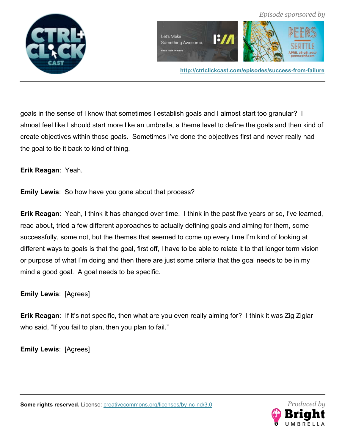

goals in the sense of I know that sometimes I establish goals and I almost start too granular? I almost feel like I should start more like an umbrella, a theme level to define the goals and then kind of create objectives within those goals. Sometimes I've done the objectives first and never really had the goal to tie it back to kind of thing.

**Erik Reagan**: Yeah.

**Emily Lewis**: So how have you gone about that process?

**Erik Reagan**: Yeah, I think it has changed over time. I think in the past five years or so, I've learned, read about, tried a few different approaches to actually defining goals and aiming for them, some successfully, some not, but the themes that seemed to come up every time I'm kind of looking at different ways to goals is that the goal, first off, I have to be able to relate it to that longer term vision or purpose of what I'm doing and then there are just some criteria that the goal needs to be in my mind a good goal. A goal needs to be specific.

**Emily Lewis**: [Agrees]

**Erik Reagan**: If it's not specific, then what are you even really aiming for? I think it was Zig Ziglar who said, "If you fail to plan, then you plan to fail."

**Emily Lewis**: [Agrees]

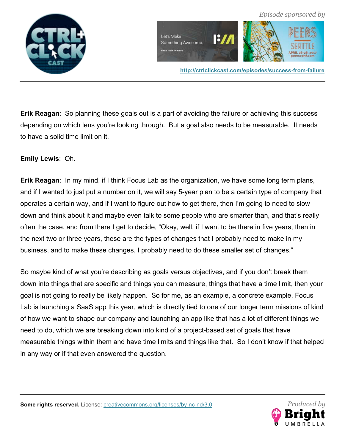

**Erik Reagan**: So planning these goals out is a part of avoiding the failure or achieving this success depending on which lens you're looking through. But a goal also needs to be measurable. It needs to have a solid time limit on it.

# **Emily Lewis**: Oh.

**Erik Reagan**: In my mind, if I think Focus Lab as the organization, we have some long term plans, and if I wanted to just put a number on it, we will say 5-year plan to be a certain type of company that operates a certain way, and if I want to figure out how to get there, then I'm going to need to slow down and think about it and maybe even talk to some people who are smarter than, and that's really often the case, and from there I get to decide, "Okay, well, if I want to be there in five years, then in the next two or three years, these are the types of changes that I probably need to make in my business, and to make these changes, I probably need to do these smaller set of changes."

So maybe kind of what you're describing as goals versus objectives, and if you don't break them down into things that are specific and things you can measure, things that have a time limit, then your goal is not going to really be likely happen. So for me, as an example, a concrete example, Focus Lab is launching a SaaS app this year, which is directly tied to one of our longer term missions of kind of how we want to shape our company and launching an app like that has a lot of different things we need to do, which we are breaking down into kind of a project-based set of goals that have measurable things within them and have time limits and things like that. So I don't know if that helped in any way or if that even answered the question.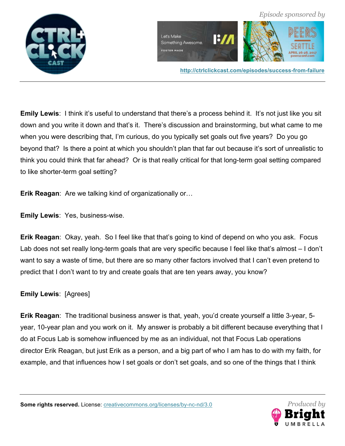

**Emily Lewis:** I think it's useful to understand that there's a process behind it. It's not just like you sit down and you write it down and that's it. There's discussion and brainstorming, but what came to me when you were describing that, I'm curious, do you typically set goals out five years? Do you go beyond that? Is there a point at which you shouldn't plan that far out because it's sort of unrealistic to think you could think that far ahead? Or is that really critical for that long-term goal setting compared to like shorter-term goal setting?

**Erik Reagan**: Are we talking kind of organizationally or…

**Emily Lewis**: Yes, business-wise.

**Erik Reagan**: Okay, yeah. So I feel like that that's going to kind of depend on who you ask. Focus Lab does not set really long-term goals that are very specific because I feel like that's almost – I don't want to say a waste of time, but there are so many other factors involved that I can't even pretend to predict that I don't want to try and create goals that are ten years away, you know?

**Emily Lewis**: [Agrees]

**Erik Reagan**: The traditional business answer is that, yeah, you'd create yourself a little 3-year, 5 year, 10-year plan and you work on it. My answer is probably a bit different because everything that I do at Focus Lab is somehow influenced by me as an individual, not that Focus Lab operations director Erik Reagan, but just Erik as a person, and a big part of who I am has to do with my faith, for example, and that influences how I set goals or don't set goals, and so one of the things that I think

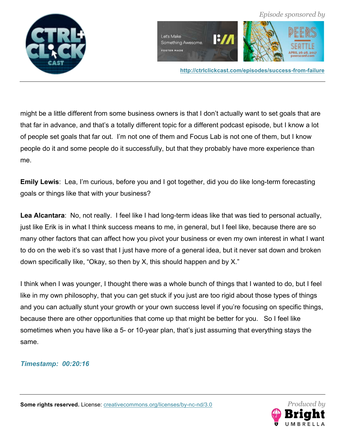



**http://ctrlclickcast.com/episodes/success-from-failure**

might be a little different from some business owners is that I don't actually want to set goals that are that far in advance, and that's a totally different topic for a different podcast episode, but I know a lot of people set goals that far out. I'm not one of them and Focus Lab is not one of them, but I know people do it and some people do it successfully, but that they probably have more experience than me.

**Emily Lewis**: Lea, I'm curious, before you and I got together, did you do like long-term forecasting goals or things like that with your business?

**Lea Alcantara**: No, not really. I feel like I had long-term ideas like that was tied to personal actually, just like Erik is in what I think success means to me, in general, but I feel like, because there are so many other factors that can affect how you pivot your business or even my own interest in what I want to do on the web it's so vast that I just have more of a general idea, but it never sat down and broken down specifically like, "Okay, so then by X, this should happen and by X."

I think when I was younger, I thought there was a whole bunch of things that I wanted to do, but I feel like in my own philosophy, that you can get stuck if you just are too rigid about those types of things and you can actually stunt your growth or your own success level if you're focusing on specific things, because there are other opportunities that come up that might be better for you. So I feel like sometimes when you have like a 5- or 10-year plan, that's just assuming that everything stays the same.

## *Timestamp: 00:20:16*

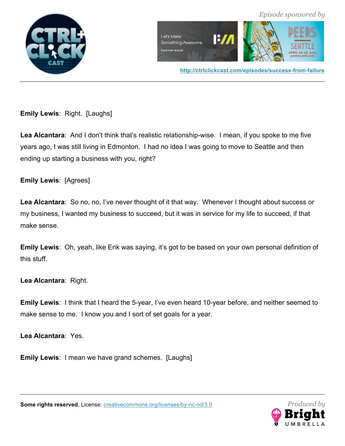



 *Episode sponsored by*

**Emily Lewis**: Right. [Laughs]

**Lea Alcantara**: And I don't think that's realistic relationship-wise. I mean, if you spoke to me five years ago, I was still living in Edmonton. I had no idea I was going to move to Seattle and then ending up starting a business with you, right?

**Emily Lewis**: [Agrees]

**Lea Alcantara**: So no, no, I've never thought of it that way. Whenever I thought about success or my business, I wanted my business to succeed, but it was in service for my life to succeed, if that make sense.

**Emily Lewis**: Oh, yeah, like Erik was saying, it's got to be based on your own personal definition of this stuff.

**Lea Alcantara**: Right.

**Emily Lewis**: I think that I heard the 5-year, I've even heard 10-year before, and neither seemed to make sense to me. I know you and I sort of set goals for a year.

**Lea Alcantara**: Yes.

**Emily Lewis**: I mean we have grand schemes. [Laughs]

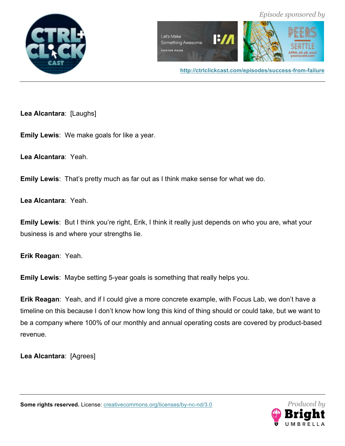



**http://ctrlclickcast.com/episodes/success-from-failure**

**Lea Alcantara**: [Laughs]

**Emily Lewis**: We make goals for like a year.

**Lea Alcantara**: Yeah.

**Emily Lewis**: That's pretty much as far out as I think make sense for what we do.

**Lea Alcantara**: Yeah.

**Emily Lewis**: But I think you're right, Erik, I think it really just depends on who you are, what your business is and where your strengths lie.

**Erik Reagan**: Yeah.

**Emily Lewis**: Maybe setting 5-year goals is something that really helps you.

**Erik Reagan**: Yeah, and if I could give a more concrete example, with Focus Lab, we don't have a timeline on this because I don't know how long this kind of thing should or could take, but we want to be a company where 100% of our monthly and annual operating costs are covered by product-based revenue.

**Lea Alcantara**: [Agrees]

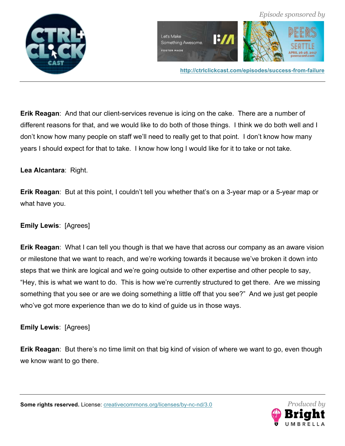

**Erik Reagan**: And that our client-services revenue is icing on the cake. There are a number of different reasons for that, and we would like to do both of those things. I think we do both well and I don't know how many people on staff we'll need to really get to that point. I don't know how many years I should expect for that to take. I know how long I would like for it to take or not take.

**Lea Alcantara**: Right.

**Erik Reagan**: But at this point, I couldn't tell you whether that's on a 3-year map or a 5-year map or what have you.

# **Emily Lewis**: [Agrees]

**Erik Reagan**: What I can tell you though is that we have that across our company as an aware vision or milestone that we want to reach, and we're working towards it because we've broken it down into steps that we think are logical and we're going outside to other expertise and other people to say, "Hey, this is what we want to do. This is how we're currently structured to get there. Are we missing something that you see or are we doing something a little off that you see?" And we just get people who've got more experience than we do to kind of guide us in those ways.

**Emily Lewis**: [Agrees]

**Erik Reagan**: But there's no time limit on that big kind of vision of where we want to go, even though we know want to go there.

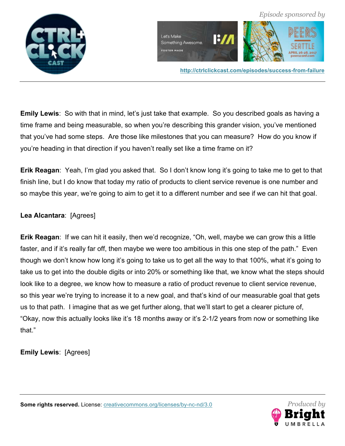



**http://ctrlclickcast.com/episodes/success-from-failure**

**Emily Lewis**: So with that in mind, let's just take that example. So you described goals as having a time frame and being measurable, so when you're describing this grander vision, you've mentioned that you've had some steps. Are those like milestones that you can measure? How do you know if you're heading in that direction if you haven't really set like a time frame on it?

**Erik Reagan**: Yeah, I'm glad you asked that. So I don't know long it's going to take me to get to that finish line, but I do know that today my ratio of products to client service revenue is one number and so maybe this year, we're going to aim to get it to a different number and see if we can hit that goal.

### **Lea Alcantara**: [Agrees]

**Erik Reagan**: If we can hit it easily, then we'd recognize, "Oh, well, maybe we can grow this a little faster, and if it's really far off, then maybe we were too ambitious in this one step of the path." Even though we don't know how long it's going to take us to get all the way to that 100%, what it's going to take us to get into the double digits or into 20% or something like that, we know what the steps should look like to a degree, we know how to measure a ratio of product revenue to client service revenue, so this year we're trying to increase it to a new goal, and that's kind of our measurable goal that gets us to that path. I imagine that as we get further along, that we'll start to get a clearer picture of, "Okay, now this actually looks like it's 18 months away or it's 2-1/2 years from now or something like that."

**Emily Lewis**: [Agrees]

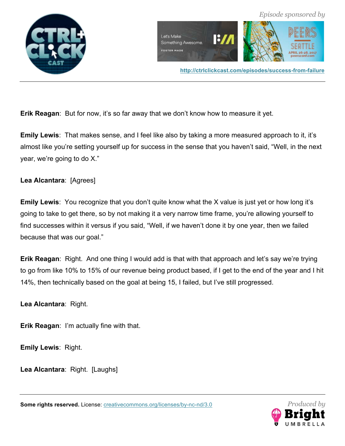



**Erik Reagan:** But for now, it's so far away that we don't know how to measure it yet.

**Emily Lewis**: That makes sense, and I feel like also by taking a more measured approach to it, it's almost like you're setting yourself up for success in the sense that you haven't said, "Well, in the next year, we're going to do X."

**Lea Alcantara**: [Agrees]

**Emily Lewis**: You recognize that you don't quite know what the X value is just yet or how long it's going to take to get there, so by not making it a very narrow time frame, you're allowing yourself to find successes within it versus if you said, "Well, if we haven't done it by one year, then we failed because that was our goal."

**Erik Reagan**: Right. And one thing I would add is that with that approach and let's say we're trying to go from like 10% to 15% of our revenue being product based, if I get to the end of the year and I hit 14%, then technically based on the goal at being 15, I failed, but I've still progressed.

**Lea Alcantara**: Right.

**Erik Reagan**: I'm actually fine with that.

**Emily Lewis**: Right.

**Lea Alcantara**: Right. [Laughs]

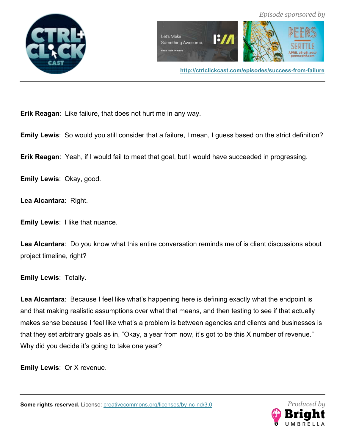



**Erik Reagan**: Like failure, that does not hurt me in any way.

**Emily Lewis**: So would you still consider that a failure, I mean, I guess based on the strict definition?

**Erik Reagan**: Yeah, if I would fail to meet that goal, but I would have succeeded in progressing.

**Emily Lewis**: Okay, good.

**Lea Alcantara**: Right.

**Emily Lewis**: I like that nuance.

**Lea Alcantara**: Do you know what this entire conversation reminds me of is client discussions about project timeline, right?

**Emily Lewis**: Totally.

**Lea Alcantara**: Because I feel like what's happening here is defining exactly what the endpoint is and that making realistic assumptions over what that means, and then testing to see if that actually makes sense because I feel like what's a problem is between agencies and clients and businesses is that they set arbitrary goals as in, "Okay, a year from now, it's got to be this X number of revenue." Why did you decide it's going to take one year?

**Emily Lewis**: Or X revenue.

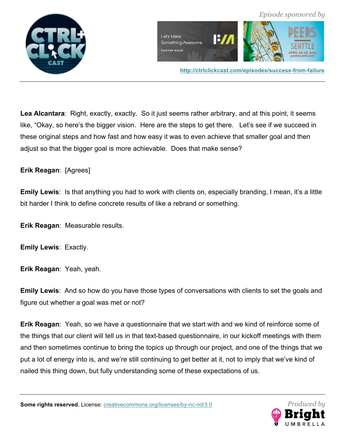

**Lea Alcantara**: Right, exactly, exactly. So it just seems rather arbitrary, and at this point, it seems like, "Okay, so here's the bigger vision. Here are the steps to get there. Let's see if we succeed in these original steps and how fast and how easy it was to even achieve that smaller goal and then adjust so that the bigger goal is more achievable. Does that make sense?

# **Erik Reagan**: [Agrees]

**Emily Lewis**: Is that anything you had to work with clients on, especially branding, I mean, it's a little bit harder I think to define concrete results of like a rebrand or something.

**Erik Reagan**: Measurable results.

**Emily Lewis**: Exactly.

**Erik Reagan**: Yeah, yeah.

**Emily Lewis**: And so how do you have those types of conversations with clients to set the goals and figure out whether a goal was met or not?

**Erik Reagan**: Yeah, so we have a questionnaire that we start with and we kind of reinforce some of the things that our client will tell us in that text-based questionnaire, in our kickoff meetings with them and then sometimes continue to bring the topics up through our project, and one of the things that we put a lot of energy into is, and we're still continuing to get better at it, not to imply that we've kind of nailed this thing down, but fully understanding some of these expectations of us.

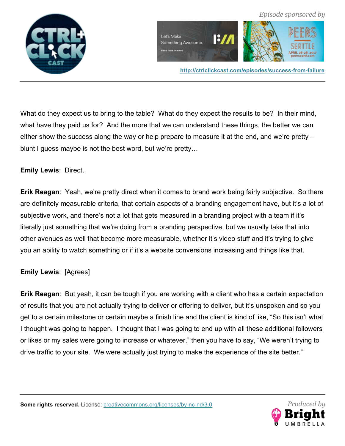



What do they expect us to bring to the table? What do they expect the results to be? In their mind, what have they paid us for? And the more that we can understand these things, the better we can either show the success along the way or help prepare to measure it at the end, and we're pretty – blunt I guess maybe is not the best word, but we're pretty…

#### **Emily Lewis**: Direct.

**Erik Reagan**: Yeah, we're pretty direct when it comes to brand work being fairly subjective. So there are definitely measurable criteria, that certain aspects of a branding engagement have, but it's a lot of subjective work, and there's not a lot that gets measured in a branding project with a team if it's literally just something that we're doing from a branding perspective, but we usually take that into other avenues as well that become more measurable, whether it's video stuff and it's trying to give you an ability to watch something or if it's a website conversions increasing and things like that.

### **Emily Lewis**: [Agrees]

**Erik Reagan**: But yeah, it can be tough if you are working with a client who has a certain expectation of results that you are not actually trying to deliver or offering to deliver, but it's unspoken and so you get to a certain milestone or certain maybe a finish line and the client is kind of like, "So this isn't what I thought was going to happen. I thought that I was going to end up with all these additional followers or likes or my sales were going to increase or whatever," then you have to say, "We weren't trying to drive traffic to your site. We were actually just trying to make the experience of the site better."

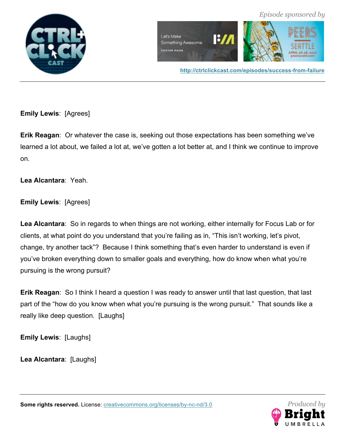



 *Episode sponsored by*

**Emily Lewis**: [Agrees]

**Erik Reagan**: Or whatever the case is, seeking out those expectations has been something we've learned a lot about, we failed a lot at, we've gotten a lot better at, and I think we continue to improve on.

**Lea Alcantara**: Yeah.

**Emily Lewis**: [Agrees]

**Lea Alcantara**: So in regards to when things are not working, either internally for Focus Lab or for clients, at what point do you understand that you're failing as in, "This isn't working, let's pivot, change, try another tack"? Because I think something that's even harder to understand is even if you've broken everything down to smaller goals and everything, how do know when what you're pursuing is the wrong pursuit?

**Erik Reagan**: So I think I heard a question I was ready to answer until that last question, that last part of the "how do you know when what you're pursuing is the wrong pursuit." That sounds like a really like deep question. [Laughs]

**Emily Lewis**: [Laughs]

**Lea Alcantara**: [Laughs]

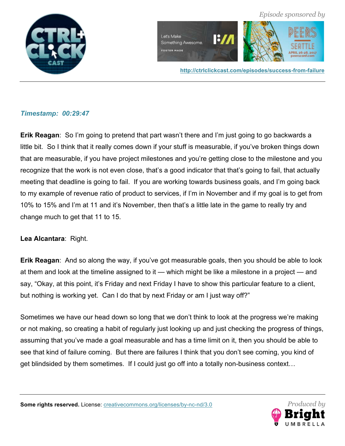



**http://ctrlclickcast.com/episodes/success-from-failure**

### *Timestamp: 00:29:47*

**Erik Reagan**: So I'm going to pretend that part wasn't there and I'm just going to go backwards a little bit. So I think that it really comes down if your stuff is measurable, if you've broken things down that are measurable, if you have project milestones and you're getting close to the milestone and you recognize that the work is not even close, that's a good indicator that that's going to fail, that actually meeting that deadline is going to fail. If you are working towards business goals, and I'm going back to my example of revenue ratio of product to services, if I'm in November and if my goal is to get from 10% to 15% and I'm at 11 and it's November, then that's a little late in the game to really try and change much to get that 11 to 15.

## **Lea Alcantara**: Right.

**Erik Reagan**: And so along the way, if you've got measurable goals, then you should be able to look at them and look at the timeline assigned to it — which might be like a milestone in a project — and say, "Okay, at this point, it's Friday and next Friday I have to show this particular feature to a client, but nothing is working yet. Can I do that by next Friday or am I just way off?"

Sometimes we have our head down so long that we don't think to look at the progress we're making or not making, so creating a habit of regularly just looking up and just checking the progress of things, assuming that you've made a goal measurable and has a time limit on it, then you should be able to see that kind of failure coming. But there are failures I think that you don't see coming, you kind of get blindsided by them sometimes. If I could just go off into a totally non-business context…

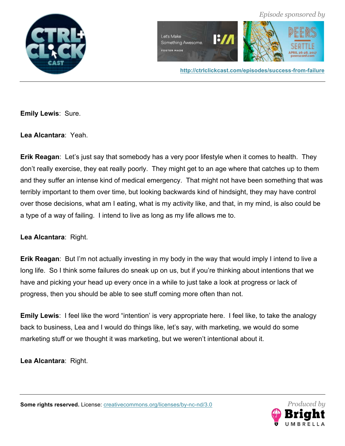



**http://ctrlclickcast.com/episodes/success-from-failure**

**Emily Lewis**: Sure.

**Lea Alcantara**: Yeah.

**Erik Reagan**: Let's just say that somebody has a very poor lifestyle when it comes to health. They don't really exercise, they eat really poorly. They might get to an age where that catches up to them and they suffer an intense kind of medical emergency. That might not have been something that was terribly important to them over time, but looking backwards kind of hindsight, they may have control over those decisions, what am I eating, what is my activity like, and that, in my mind, is also could be a type of a way of failing. I intend to live as long as my life allows me to.

**Lea Alcantara**: Right.

**Erik Reagan**: But I'm not actually investing in my body in the way that would imply I intend to live a long life. So I think some failures do sneak up on us, but if you're thinking about intentions that we have and picking your head up every once in a while to just take a look at progress or lack of progress, then you should be able to see stuff coming more often than not.

**Emily Lewis**: I feel like the word "intention' is very appropriate here. I feel like, to take the analogy back to business, Lea and I would do things like, let's say, with marketing, we would do some marketing stuff or we thought it was marketing, but we weren't intentional about it.

**Lea Alcantara**: Right.



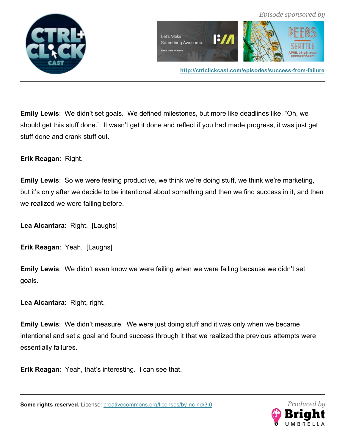

**Emily Lewis**: We didn't set goals. We defined milestones, but more like deadlines like, "Oh, we should get this stuff done." It wasn't get it done and reflect if you had made progress, it was just get stuff done and crank stuff out.

**Erik Reagan**: Right.

**Emily Lewis**: So we were feeling productive, we think we're doing stuff, we think we're marketing, but it's only after we decide to be intentional about something and then we find success in it, and then we realized we were failing before.

**Lea Alcantara**: Right. [Laughs]

**Erik Reagan**: Yeah. [Laughs]

**Emily Lewis**: We didn't even know we were failing when we were failing because we didn't set goals.

**Lea Alcantara**: Right, right.

**Emily Lewis**: We didn't measure. We were just doing stuff and it was only when we became intentional and set a goal and found success through it that we realized the previous attempts were essentially failures.

**Erik Reagan**: Yeah, that's interesting. I can see that.

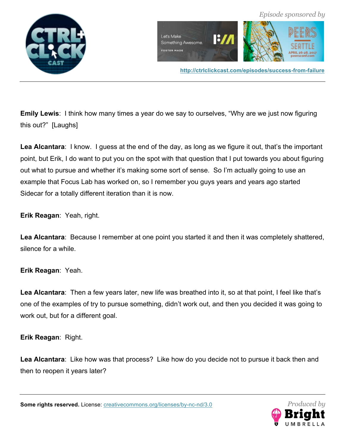



**Emily Lewis**: I think how many times a year do we say to ourselves, "Why are we just now figuring this out?" [Laughs]

**Lea Alcantara**: I know. I guess at the end of the day, as long as we figure it out, that's the important point, but Erik, I do want to put you on the spot with that question that I put towards you about figuring out what to pursue and whether it's making some sort of sense. So I'm actually going to use an example that Focus Lab has worked on, so I remember you guys years and years ago started Sidecar for a totally different iteration than it is now.

**Erik Reagan**: Yeah, right.

**Lea Alcantara**: Because I remember at one point you started it and then it was completely shattered, silence for a while.

**Erik Reagan**: Yeah.

**Lea Alcantara**: Then a few years later, new life was breathed into it, so at that point, I feel like that's one of the examples of try to pursue something, didn't work out, and then you decided it was going to work out, but for a different goal.

**Erik Reagan**: Right.

**Lea Alcantara**: Like how was that process? Like how do you decide not to pursue it back then and then to reopen it years later?

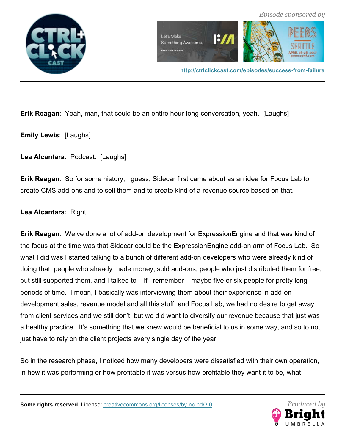



 *Episode sponsored by*

**Erik Reagan**: Yeah, man, that could be an entire hour-long conversation, yeah. [Laughs]

**Emily Lewis**: [Laughs]

**Lea Alcantara**: Podcast. [Laughs]

**Erik Reagan**: So for some history, I guess, Sidecar first came about as an idea for Focus Lab to create CMS add-ons and to sell them and to create kind of a revenue source based on that.

**Lea Alcantara**: Right.

**Erik Reagan**: We've done a lot of add-on development for ExpressionEngine and that was kind of the focus at the time was that Sidecar could be the ExpressionEngine add-on arm of Focus Lab. So what I did was I started talking to a bunch of different add-on developers who were already kind of doing that, people who already made money, sold add-ons, people who just distributed them for free, but still supported them, and I talked to – if I remember – maybe five or six people for pretty long periods of time. I mean, I basically was interviewing them about their experience in add-on development sales, revenue model and all this stuff, and Focus Lab, we had no desire to get away from client services and we still don't, but we did want to diversify our revenue because that just was a healthy practice. It's something that we knew would be beneficial to us in some way, and so to not just have to rely on the client projects every single day of the year.

So in the research phase, I noticed how many developers were dissatisfied with their own operation, in how it was performing or how profitable it was versus how profitable they want it to be, what

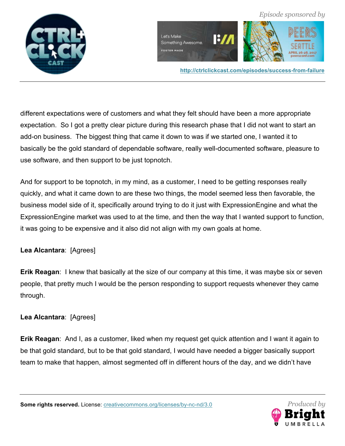









different expectations were of customers and what they felt should have been a more appropriate expectation. So I got a pretty clear picture during this research phase that I did not want to start an add-on business. The biggest thing that came it down to was if we started one, I wanted it to basically be the gold standard of dependable software, really well-documented software, pleasure to use software, and then support to be just topnotch.

And for support to be topnotch, in my mind, as a customer, I need to be getting responses really quickly, and what it came down to are these two things, the model seemed less then favorable, the business model side of it, specifically around trying to do it just with ExpressionEngine and what the ExpressionEngine market was used to at the time, and then the way that I wanted support to function, it was going to be expensive and it also did not align with my own goals at home.

# **Lea Alcantara**: [Agrees]

**Erik Reagan**: I knew that basically at the size of our company at this time, it was maybe six or seven people, that pretty much I would be the person responding to support requests whenever they came through.

# **Lea Alcantara**: [Agrees]

**Erik Reagan**: And I, as a customer, liked when my request get quick attention and I want it again to be that gold standard, but to be that gold standard, I would have needed a bigger basically support team to make that happen, almost segmented off in different hours of the day, and we didn't have

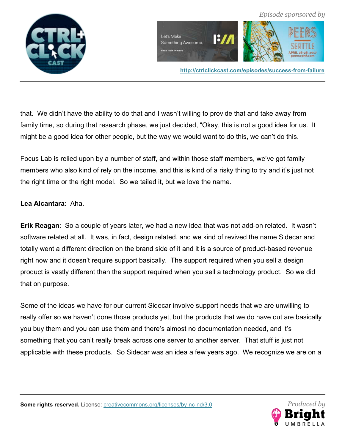



**http://ctrlclickcast.com/episodes/success-from-failure**

that. We didn't have the ability to do that and I wasn't willing to provide that and take away from family time, so during that research phase, we just decided, "Okay, this is not a good idea for us. It might be a good idea for other people, but the way we would want to do this, we can't do this.

Focus Lab is relied upon by a number of staff, and within those staff members, we've got family members who also kind of rely on the income, and this is kind of a risky thing to try and it's just not the right time or the right model. So we tailed it, but we love the name.

### **Lea Alcantara**: Aha.

**Erik Reagan**: So a couple of years later, we had a new idea that was not add-on related. It wasn't software related at all. It was, in fact, design related, and we kind of revived the name Sidecar and totally went a different direction on the brand side of it and it is a source of product-based revenue right now and it doesn't require support basically. The support required when you sell a design product is vastly different than the support required when you sell a technology product. So we did that on purpose.

Some of the ideas we have for our current Sidecar involve support needs that we are unwilling to really offer so we haven't done those products yet, but the products that we do have out are basically you buy them and you can use them and there's almost no documentation needed, and it's something that you can't really break across one server to another server. That stuff is just not applicable with these products. So Sidecar was an idea a few years ago. We recognize we are on a

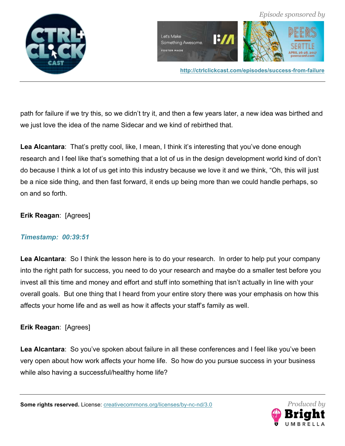



path for failure if we try this, so we didn't try it, and then a few years later, a new idea was birthed and we just love the idea of the name Sidecar and we kind of rebirthed that.

**Lea Alcantara**: That's pretty cool, like, I mean, I think it's interesting that you've done enough research and I feel like that's something that a lot of us in the design development world kind of don't do because I think a lot of us get into this industry because we love it and we think, "Oh, this will just be a nice side thing, and then fast forward, it ends up being more than we could handle perhaps, so on and so forth.

### **Erik Reagan**: [Agrees]

### *Timestamp: 00:39:51*

**Lea Alcantara**: So I think the lesson here is to do your research. In order to help put your company into the right path for success, you need to do your research and maybe do a smaller test before you invest all this time and money and effort and stuff into something that isn't actually in line with your overall goals. But one thing that I heard from your entire story there was your emphasis on how this affects your home life and as well as how it affects your staff's family as well.

### **Erik Reagan**: [Agrees]

**Lea Alcantara**: So you've spoken about failure in all these conferences and I feel like you've been very open about how work affects your home life. So how do you pursue success in your business while also having a successful/healthy home life?

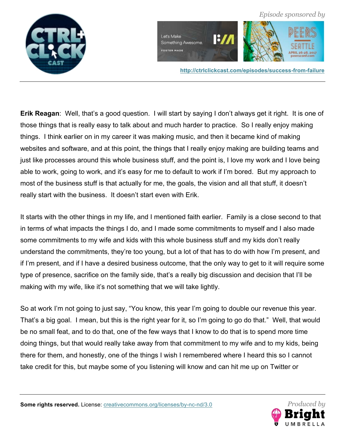

 *Episode sponsored by*  $I:II$ Something Awesome.

**http://ctrlclickcast.com/episodes/success-from-failure**

**Erik Reagan**: Well, that's a good question. I will start by saying I don't always get it right. It is one of those things that is really easy to talk about and much harder to practice. So I really enjoy making things. I think earlier on in my career it was making music, and then it became kind of making websites and software, and at this point, the things that I really enjoy making are building teams and just like processes around this whole business stuff, and the point is, I love my work and I love being able to work, going to work, and it's easy for me to default to work if I'm bored. But my approach to most of the business stuff is that actually for me, the goals, the vision and all that stuff, it doesn't really start with the business. It doesn't start even with Erik.

Let's Make

**FOSTER MADE** 

It starts with the other things in my life, and I mentioned faith earlier. Family is a close second to that in terms of what impacts the things I do, and I made some commitments to myself and I also made some commitments to my wife and kids with this whole business stuff and my kids don't really understand the commitments, they're too young, but a lot of that has to do with how I'm present, and if I'm present, and if I have a desired business outcome, that the only way to get to it will require some type of presence, sacrifice on the family side, that's a really big discussion and decision that I'll be making with my wife, like it's not something that we will take lightly.

So at work I'm not going to just say, "You know, this year I'm going to double our revenue this year. That's a big goal. I mean, but this is the right year for it, so I'm going to go do that." Well, that would be no small feat, and to do that, one of the few ways that I know to do that is to spend more time doing things, but that would really take away from that commitment to my wife and to my kids, being there for them, and honestly, one of the things I wish I remembered where I heard this so I cannot take credit for this, but maybe some of you listening will know and can hit me up on Twitter or

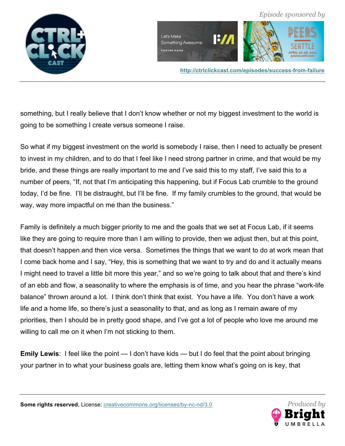

 $I:II$ Let's Make Something Awesome. **FOSTER MADE** 

**http://ctrlclickcast.com/episodes/success-from-failure**

 *Episode sponsored by*

something, but I really believe that I don't know whether or not my biggest investment to the world is going to be something I create versus someone I raise.

So what if my biggest investment on the world is somebody I raise, then I need to actually be present to invest in my children, and to do that I feel like I need strong partner in crime, and that would be my bride, and these things are really important to me and I've said this to my staff, I've said this to a number of peers, "If, not that I'm anticipating this happening, but if Focus Lab crumble to the ground today, I'd be fine. I'll be distraught, but I'll be fine. If my family crumbles to the ground, that would be way, way more impactful on me than the business."

Family is definitely a much bigger priority to me and the goals that we set at Focus Lab, if it seems like they are going to require more than I am willing to provide, then we adjust then, but at this point, that doesn't happen and then vice versa. Sometimes the things that we want to do at work mean that I come back home and I say, "Hey, this is something that we want to try and do and it actually means I might need to travel a little bit more this year," and so we're going to talk about that and there's kind of an ebb and flow, a seasonality to where the emphasis is of time, and you hear the phrase "work-life balance" thrown around a lot. I think don't think that exist. You have a life. You don't have a work life and a home life, so there's just a seasonality to that, and as long as I remain aware of my priorities, then I should be in pretty good shape, and I've got a lot of people who love me around me willing to call me on it when I'm not sticking to them.

**Emily Lewis**: I feel like the point — I don't have kids — but I do feel that the point about bringing your partner in to what your business goals are, letting them know what's going on is key, that

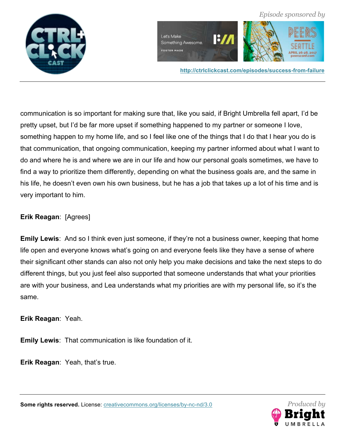







**http://ctrlclickcast.com/episodes/success-from-failure**

communication is so important for making sure that, like you said, if Bright Umbrella fell apart, I'd be pretty upset, but I'd be far more upset if something happened to my partner or someone I love, something happen to my home life, and so I feel like one of the things that I do that I hear you do is that communication, that ongoing communication, keeping my partner informed about what I want to do and where he is and where we are in our life and how our personal goals sometimes, we have to find a way to prioritize them differently, depending on what the business goals are, and the same in his life, he doesn't even own his own business, but he has a job that takes up a lot of his time and is very important to him.

### **Erik Reagan**: [Agrees]

**Emily Lewis**: And so I think even just someone, if they're not a business owner, keeping that home life open and everyone knows what's going on and everyone feels like they have a sense of where their significant other stands can also not only help you make decisions and take the next steps to do different things, but you just feel also supported that someone understands that what your priorities are with your business, and Lea understands what my priorities are with my personal life, so it's the same.

**Erik Reagan**: Yeah.

**Emily Lewis**: That communication is like foundation of it.

**Erik Reagan**: Yeah, that's true.

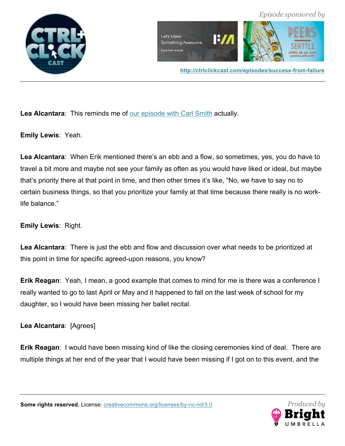



**Lea Alcantara**: This reminds me of our episode with Carl Smith actually.

**Emily Lewis**: Yeah.

**Lea Alcantara**: When Erik mentioned there's an ebb and a flow, so sometimes, yes, you do have to travel a bit more and maybe not see your family as often as you would have liked or ideal, but maybe that's priority there at that point in time, and then other times it's like, "No, we have to say no to certain business things, so that you prioritize your family at that time because there really is no worklife balance."

## **Emily Lewis**: Right.

**Lea Alcantara**: There is just the ebb and flow and discussion over what needs to be prioritized at this point in time for specific agreed-upon reasons, you know?

**Erik Reagan**: Yeah, I mean, a good example that comes to mind for me is there was a conference I really wanted to go to last April or May and it happened to fall on the last week of school for my daughter, so I would have been missing her ballet recital.

**Lea Alcantara**: [Agrees]

**Erik Reagan**: I would have been missing kind of like the closing ceremonies kind of deal. There are multiple things at her end of the year that I would have been missing if I got on to this event, and the

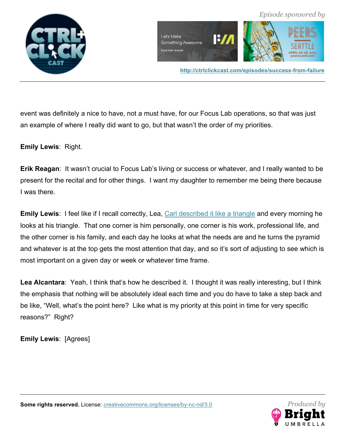



event was definitely a nice to have, not a must have, for our Focus Lab operations, so that was just an example of where I really did want to go, but that wasn't the order of my priorities.

**Emily Lewis**: Right.

**Erik Reagan**: It wasn't crucial to Focus Lab's living or success or whatever, and I really wanted to be present for the recital and for other things. I want my daughter to remember me being there because I was there.

**Emily Lewis:** I feel like if I recall correctly, Lea, Carl described it like a triangle and every morning he looks at his triangle. That one corner is him personally, one corner is his work, professional life, and the other corner is his family, and each day he looks at what the needs are and he turns the pyramid and whatever is at the top gets the most attention that day, and so it's sort of adjusting to see which is most important on a given day or week or whatever time frame.

Lea Alcantara: Yeah, I think that's how he described it. I thought it was really interesting, but I think the emphasis that nothing will be absolutely ideal each time and you do have to take a step back and be like, "Well, what's the point here? Like what is my priority at this point in time for very specific reasons?" Right?

**Emily Lewis**: [Agrees]

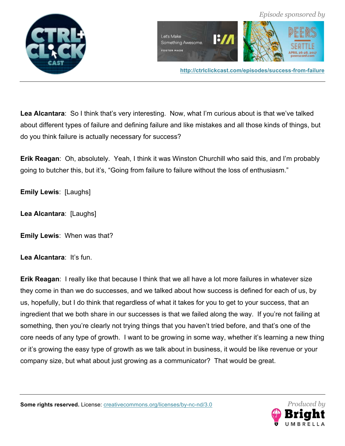

**Lea Alcantara**: So I think that's very interesting. Now, what I'm curious about is that we've talked about different types of failure and defining failure and like mistakes and all those kinds of things, but do you think failure is actually necessary for success?

**Erik Reagan**: Oh, absolutely. Yeah, I think it was Winston Churchill who said this, and I'm probably going to butcher this, but it's, "Going from failure to failure without the loss of enthusiasm."

**Emily Lewis**: [Laughs]

**Lea Alcantara**: [Laughs]

**Emily Lewis**: When was that?

**Lea Alcantara**: It's fun.

**Erik Reagan**: I really like that because I think that we all have a lot more failures in whatever size they come in than we do successes, and we talked about how success is defined for each of us, by us, hopefully, but I do think that regardless of what it takes for you to get to your success, that an ingredient that we both share in our successes is that we failed along the way. If you're not failing at something, then you're clearly not trying things that you haven't tried before, and that's one of the core needs of any type of growth. I want to be growing in some way, whether it's learning a new thing or it's growing the easy type of growth as we talk about in business, it would be like revenue or your company size, but what about just growing as a communicator? That would be great.

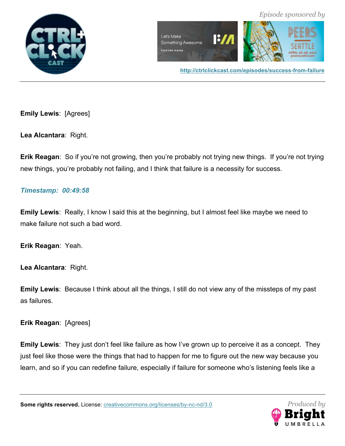



**http://ctrlclickcast.com/episodes/success-from-failure**

**Emily Lewis**: [Agrees]

**Lea Alcantara**: Right.

**Erik Reagan:** So if you're not growing, then you're probably not trying new things. If you're not trying new things, you're probably not failing, and I think that failure is a necessity for success.

### *Timestamp: 00:49:58*

**Emily Lewis**: Really, I know I said this at the beginning, but I almost feel like maybe we need to make failure not such a bad word.

**Erik Reagan**: Yeah.

**Lea Alcantara**: Right.

**Emily Lewis**: Because I think about all the things, I still do not view any of the missteps of my past as failures.

**Erik Reagan**: [Agrees]

**Emily Lewis**: They just don't feel like failure as how I've grown up to perceive it as a concept. They just feel like those were the things that had to happen for me to figure out the new way because you learn, and so if you can redefine failure, especially if failure for someone who's listening feels like a

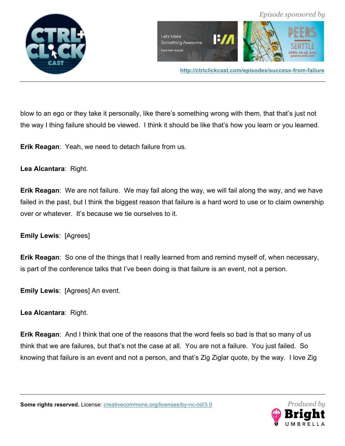



blow to an ego or they take it personally, like there's something wrong with them, that that's just not the way I thing failure should be viewed. I think it should be like that's how you learn or you learned.

**Erik Reagan**: Yeah, we need to detach failure from us.

**Lea Alcantara**: Right.

**Erik Reagan**: We are not failure. We may fail along the way, we will fail along the way, and we have failed in the past, but I think the biggest reason that failure is a hard word to use or to claim ownership over or whatever. It's because we tie ourselves to it.

**Emily Lewis**: [Agrees]

**Erik Reagan**: So one of the things that I really learned from and remind myself of, when necessary, is part of the conference talks that I've been doing is that failure is an event, not a person.

**Emily Lewis**: [Agrees] An event.

**Lea Alcantara**: Right.

**Erik Reagan**: And I think that one of the reasons that the word feels so bad is that so many of us think that we are failures, but that's not the case at all. You are not a failure. You just failed. So knowing that failure is an event and not a person, and that's Zig Ziglar quote, by the way. I love Zig

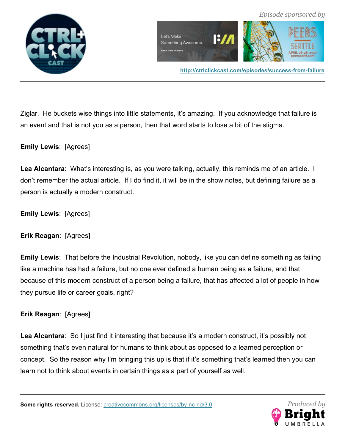



Ziglar. He buckets wise things into little statements, it's amazing. If you acknowledge that failure is an event and that is not you as a person, then that word starts to lose a bit of the stigma.

**Emily Lewis**: [Agrees]

**Lea Alcantara**: What's interesting is, as you were talking, actually, this reminds me of an article. I don't remember the actual article. If I do find it, it will be in the show notes, but defining failure as a person is actually a modern construct.

**Emily Lewis**: [Agrees]

**Erik Reagan**: [Agrees]

**Emily Lewis**: That before the Industrial Revolution, nobody, like you can define something as failing like a machine has had a failure, but no one ever defined a human being as a failure, and that because of this modern construct of a person being a failure, that has affected a lot of people in how they pursue life or career goals, right?

**Erik Reagan**: [Agrees]

**Lea Alcantara**: So I just find it interesting that because it's a modern construct, it's possibly not something that's even natural for humans to think about as opposed to a learned perception or concept. So the reason why I'm bringing this up is that if it's something that's learned then you can learn not to think about events in certain things as a part of yourself as well.

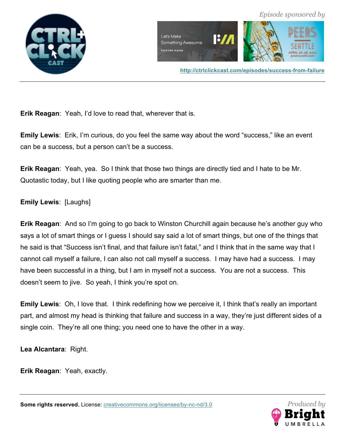



**Erik Reagan**: Yeah, I'd love to read that, wherever that is.

**Emily Lewis**: Erik, I'm curious, do you feel the same way about the word "success," like an event can be a success, but a person can't be a success.

**Erik Reagan**: Yeah, yea. So I think that those two things are directly tied and I hate to be Mr. Quotastic today, but I like quoting people who are smarter than me.

**Emily Lewis**: [Laughs]

**Erik Reagan**: And so I'm going to go back to Winston Churchill again because he's another guy who says a lot of smart things or I guess I should say said a lot of smart things, but one of the things that he said is that "Success isn't final, and that failure isn't fatal," and I think that in the same way that I cannot call myself a failure, I can also not call myself a success. I may have had a success. I may have been successful in a thing, but I am in myself not a success. You are not a success. This doesn't seem to jive. So yeah, I think you're spot on.

**Emily Lewis**: Oh, I love that. I think redefining how we perceive it, I think that's really an important part, and almost my head is thinking that failure and success in a way, they're just different sides of a single coin. They're all one thing; you need one to have the other in a way.

**Lea Alcantara**: Right.

**Erik Reagan**: Yeah, exactly.

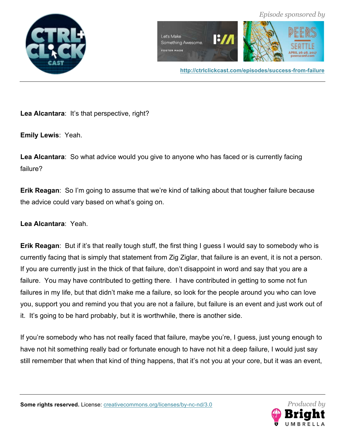





Lea Alcantara: It's that perspective, right?

**Emily Lewis**: Yeah.

**Lea Alcantara**: So what advice would you give to anyone who has faced or is currently facing failure?

**Erik Reagan**: So I'm going to assume that we're kind of talking about that tougher failure because the advice could vary based on what's going on.

**Lea Alcantara**: Yeah.

**Erik Reagan**: But if it's that really tough stuff, the first thing I guess I would say to somebody who is currently facing that is simply that statement from Zig Ziglar, that failure is an event, it is not a person. If you are currently just in the thick of that failure, don't disappoint in word and say that you are a failure. You may have contributed to getting there. I have contributed in getting to some not fun failures in my life, but that didn't make me a failure, so look for the people around you who can love you, support you and remind you that you are not a failure, but failure is an event and just work out of it. It's going to be hard probably, but it is worthwhile, there is another side.

If you're somebody who has not really faced that failure, maybe you're, I guess, just young enough to have not hit something really bad or fortunate enough to have not hit a deep failure, I would just say still remember that when that kind of thing happens, that it's not you at your core, but it was an event,

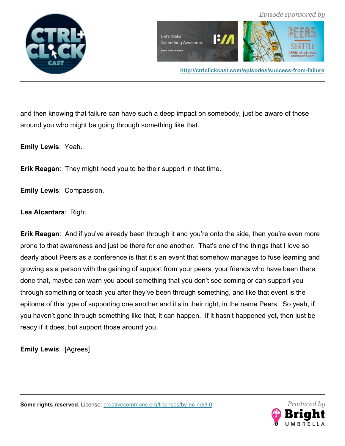

and then knowing that failure can have such a deep impact on somebody, just be aware of those around you who might be going through something like that.

**Emily Lewis**: Yeah.

**Erik Reagan**: They might need you to be their support in that time.

**Emily Lewis**: Compassion.

**Lea Alcantara**: Right.

**Erik Reagan**: And if you've already been through it and you're onto the side, then you're even more prone to that awareness and just be there for one another. That's one of the things that I love so dearly about Peers as a conference is that it's an event that somehow manages to fuse learning and growing as a person with the gaining of support from your peers, your friends who have been there done that, maybe can warn you about something that you don't see coming or can support you through something or teach you after they've been through something, and like that event is the epitome of this type of supporting one another and it's in their right, in the name Peers. So yeah, if you haven't gone through something like that, it can happen. If it hasn't happened yet, then just be ready if it does, but support those around you.

**Emily Lewis**: [Agrees]

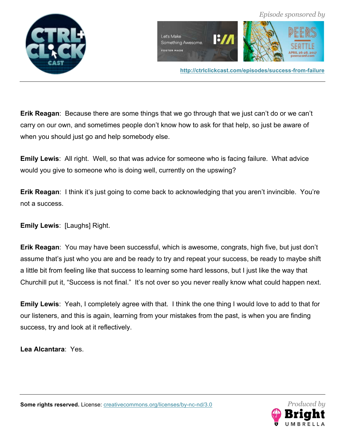



**http://ctrlclickcast.com/episodes/success-from-failure**

**Erik Reagan**: Because there are some things that we go through that we just can't do or we can't carry on our own, and sometimes people don't know how to ask for that help, so just be aware of when you should just go and help somebody else.

**Emily Lewis**: All right. Well, so that was advice for someone who is facing failure. What advice would you give to someone who is doing well, currently on the upswing?

**Erik Reagan**: I think it's just going to come back to acknowledging that you aren't invincible. You're not a success.

**Emily Lewis**: [Laughs] Right.

**Erik Reagan**: You may have been successful, which is awesome, congrats, high five, but just don't assume that's just who you are and be ready to try and repeat your success, be ready to maybe shift a little bit from feeling like that success to learning some hard lessons, but I just like the way that Churchill put it, "Success is not final." It's not over so you never really know what could happen next.

**Emily Lewis**: Yeah, I completely agree with that. I think the one thing I would love to add to that for our listeners, and this is again, learning from your mistakes from the past, is when you are finding success, try and look at it reflectively.

**Lea Alcantara**: Yes.

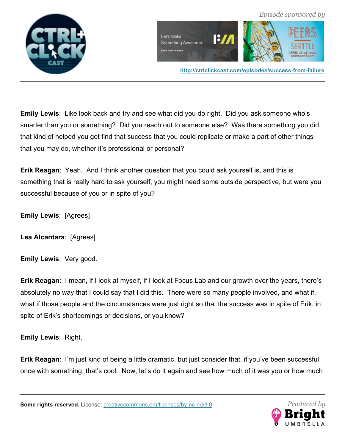



**http://ctrlclickcast.com/episodes/success-from-failure**

**Emily Lewis**: Like look back and try and see what did you do right. Did you ask someone who's smarter than you or something? Did you reach out to someone else? Was there something you did that kind of helped you get find that success that you could replicate or make a part of other things that you may do, whether it's professional or personal?

**Erik Reagan**: Yeah. And I think another question that you could ask yourself is, and this is something that is really hard to ask yourself, you might need some outside perspective, but were you successful because of you or in spite of you?

**Emily Lewis**: [Agrees]

**Lea Alcantara**: [Agrees]

**Emily Lewis**: Very good.

**Erik Reagan**: I mean, if I look at myself, if I look at Focus Lab and our growth over the years, there's absolutely no way that I could say that I did this. There were so many people involved, and what if, what if those people and the circumstances were just right so that the success was in spite of Erik, in spite of Erik's shortcomings or decisions, or you know?

**Emily Lewis**: Right.

**Erik Reagan**: I'm just kind of being a little dramatic, but just consider that, if you've been successful once with something, that's cool. Now, let's do it again and see how much of it was you or how much

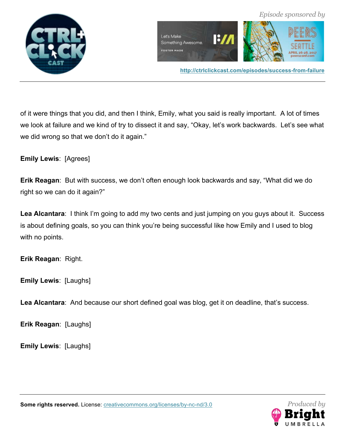

of it were things that you did, and then I think, Emily, what you said is really important. A lot of times we look at failure and we kind of try to dissect it and say, "Okay, let's work backwards. Let's see what we did wrong so that we don't do it again."

**Emily Lewis**: [Agrees]

**Erik Reagan**: But with success, we don't often enough look backwards and say, "What did we do right so we can do it again?"

**Lea Alcantara**: I think I'm going to add my two cents and just jumping on you guys about it. Success is about defining goals, so you can think you're being successful like how Emily and I used to blog with no points.

**Erik Reagan**: Right.

**Emily Lewis**: [Laughs]

Lea Alcantara: And because our short defined goal was blog, get it on deadline, that's success.

**Erik Reagan**: [Laughs]

**Emily Lewis**: [Laughs]

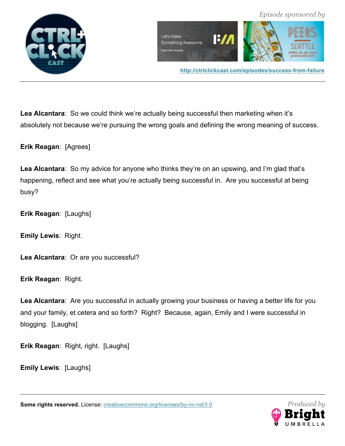



**Lea Alcantara**: So we could think we're actually being successful then marketing when it's absolutely not because we're pursuing the wrong goals and defining the wrong meaning of success.

**Erik Reagan**: [Agrees]

Lea Alcantara: So my advice for anyone who thinks they're on an upswing, and I'm glad that's happening, reflect and see what you're actually being successful in. Are you successful at being busy?

**Erik Reagan**: [Laughs]

**Emily Lewis**: Right.

**Lea Alcantara**: Or are you successful?

**Erik Reagan**: Right.

**Lea Alcantara**: Are you successful in actually growing your business or having a better life for you and your family, et cetera and so forth? Right? Because, again, Emily and I were successful in blogging. [Laughs]

**Erik Reagan**: Right, right. [Laughs]

**Emily Lewis**: [Laughs]

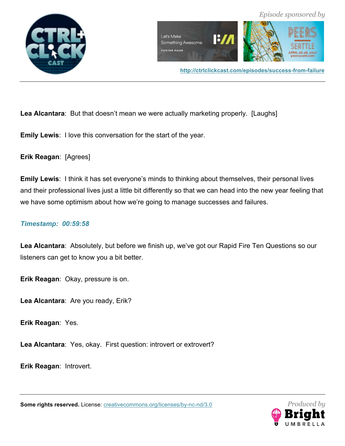



**Lea Alcantara**: But that doesn't mean we were actually marketing properly. [Laughs]

**Emily Lewis**: I love this conversation for the start of the year.

**Erik Reagan**: [Agrees]

**Emily Lewis**: I think it has set everyone's minds to thinking about themselves, their personal lives and their professional lives just a little bit differently so that we can head into the new year feeling that we have some optimism about how we're going to manage successes and failures.

### *Timestamp: 00:59:58*

**Lea Alcantara**: Absolutely, but before we finish up, we've got our Rapid Fire Ten Questions so our listeners can get to know you a bit better.

**Erik Reagan**: Okay, pressure is on.

**Lea Alcantara**: Are you ready, Erik?

**Erik Reagan**: Yes.

**Lea Alcantara**: Yes, okay. First question: introvert or extrovert?

**Erik Reagan**: Introvert.

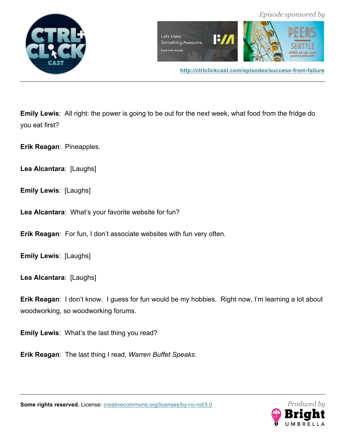

**Emily Lewis**: All right: the power is going to be out for the next week, what food from the fridge do you eat first?

**Erik Reagan**: Pineapples.

**Lea Alcantara**: [Laughs]

**Emily Lewis**: [Laughs]

**Lea Alcantara**: What's your favorite website for fun?

**Erik Reagan**: For fun, I don't associate websites with fun very often.

**Emily Lewis**: [Laughs]

**Lea Alcantara**: [Laughs]

**Erik Reagan**: I don't know. I guess for fun would be my hobbies. Right now, I'm learning a lot about woodworking, so woodworking forums.

**Emily Lewis**: What's the last thing you read?

**Erik Reagan**: The last thing I read, *Warren Buffet Speaks*.

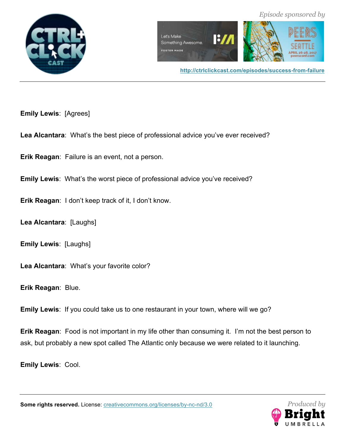



**http://ctrlclickcast.com/episodes/success-from-failure**

**Emily Lewis**: [Agrees]

**Lea Alcantara**: What's the best piece of professional advice you've ever received?

**Erik Reagan**: Failure is an event, not a person.

**Emily Lewis**: What's the worst piece of professional advice you've received?

**Erik Reagan**: I don't keep track of it, I don't know.

**Lea Alcantara**: [Laughs]

**Emily Lewis**: [Laughs]

**Lea Alcantara**: What's your favorite color?

**Erik Reagan**: Blue.

**Emily Lewis**: If you could take us to one restaurant in your town, where will we go?

**Erik Reagan**: Food is not important in my life other than consuming it. I'm not the best person to ask, but probably a new spot called The Atlantic only because we were related to it launching.

**Emily Lewis**: Cool.

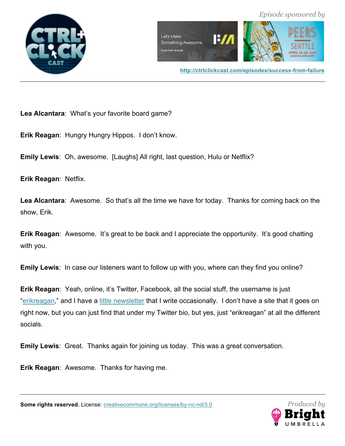



 *Episode sponsored by*

**Lea Alcantara**: What's your favorite board game?

**Erik Reagan**: Hungry Hungry Hippos. I don't know.

**Emily Lewis**: Oh, awesome. [Laughs] All right, last question, Hulu or Netflix?

**Erik Reagan**: Netflix.

**Lea Alcantara**: Awesome. So that's all the time we have for today. Thanks for coming back on the show, Erik.

**Erik Reagan:** Awesome. It's great to be back and I appreciate the opportunity. It's good chatting with you.

**Emily Lewis**: In case our listeners want to follow up with you, where can they find you online?

**Erik Reagan**: Yeah, online, it's Twitter, Facebook, all the social stuff, the username is just "erikreagan," and I have a little newsletter that I write occasionally. I don't have a site that it goes on right now, but you can just find that under my Twitter bio, but yes, just "erikreagan" at all the different socials.

**Emily Lewis**: Great. Thanks again for joining us today. This was a great conversation.

**Erik Reagan**: Awesome. Thanks for having me.

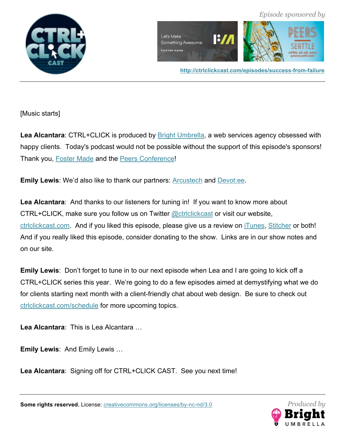



**http://ctrlclickcast.com/episodes/success-from-failure**

[Music starts]

Lea Alcantara: CTRL+CLICK is produced by **Bright Umbrella**, a web services agency obsessed with happy clients. Today's podcast would not be possible without the support of this episode's sponsors! Thank you, Foster Made and the Peers Conference!

**Emily Lewis**: We'd also like to thank our partners: Arcustech and Devot:ee.

**Lea Alcantara**: And thanks to our listeners for tuning in! If you want to know more about CTRL+CLICK, make sure you follow us on Twitter @ctrlclickcast or visit our website, ctrlclickcast.com. And if you liked this episode, please give us a review on iTunes, Stitcher or both! And if you really liked this episode, consider donating to the show. Links are in our show notes and on our site.

**Emily Lewis**: Don't forget to tune in to our next episode when Lea and I are going to kick off a CTRL+CLICK series this year. We're going to do a few episodes aimed at demystifying what we do for clients starting next month with a client-friendly chat about web design. Be sure to check out ctrlclickcast.com/schedule for more upcoming topics.

**Lea Alcantara**: This is Lea Alcantara …

**Emily Lewis**: And Emily Lewis …

**Lea Alcantara**: Signing off for CTRL+CLICK CAST. See you next time!